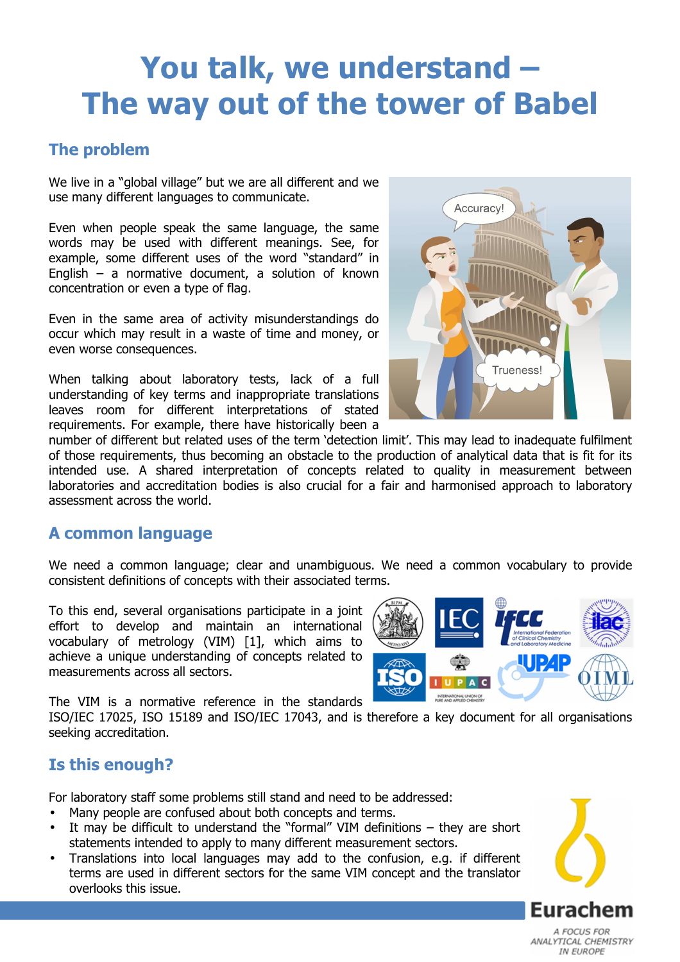# **You talk, we understand – The way out of the tower of Babel**

# **The problem**

We live in a "global village" but we are all different and we use many different languages to communicate.

Even when people speak the same language, the same words may be used with different meanings. See, for example, some different uses of the word "standard" in English – a normative document, a solution of known concentration or even a type of flag.

Even in the same area of activity misunderstandings do occur which may result in a waste of time and money, or even worse consequences.

When talking about laboratory tests, lack of a full understanding of key terms and inappropriate translations leaves room for different interpretations of stated requirements. For example, there have historically been a



number of different but related uses of the term 'detection limit'. This may lead to inadequate fulfilment of those requirements, thus becoming an obstacle to the production of analytical data that is fit for its intended use. A shared interpretation of concepts related to quality in measurement between laboratories and accreditation bodies is also crucial for a fair and harmonised approach to laboratory assessment across the world.

### **A common language**

We need a common language; clear and unambiguous. We need a common vocabulary to provide consistent definitions of concepts with their associated terms.

To this end, several organisations participate in a joint effort to develop and maintain an international vocabulary of metrology (VIM) [1], which aims to achieve a unique understanding of concepts related to measurements across all sectors.

The VIM is a normative reference in the standards

ISO/IEC 17025, ISO 15189 and ISO/IEC 17043, and is therefore a key document for all organisations seeking accreditation.

# **Is this enough?**

For laboratory staff some problems still stand and need to be addressed:

- Many people are confused about both concepts and terms.
- It may be difficult to understand the "formal" VIM definitions they are short statements intended to apply to many different measurement sectors.
- Translations into local languages may add to the confusion, e.g. if different terms are used in different sectors for the same VIM concept and the translator overlooks this issue.



Eurachem A FOCUS FOR ANALYTICAL CHEMISTRY IN FUROPE